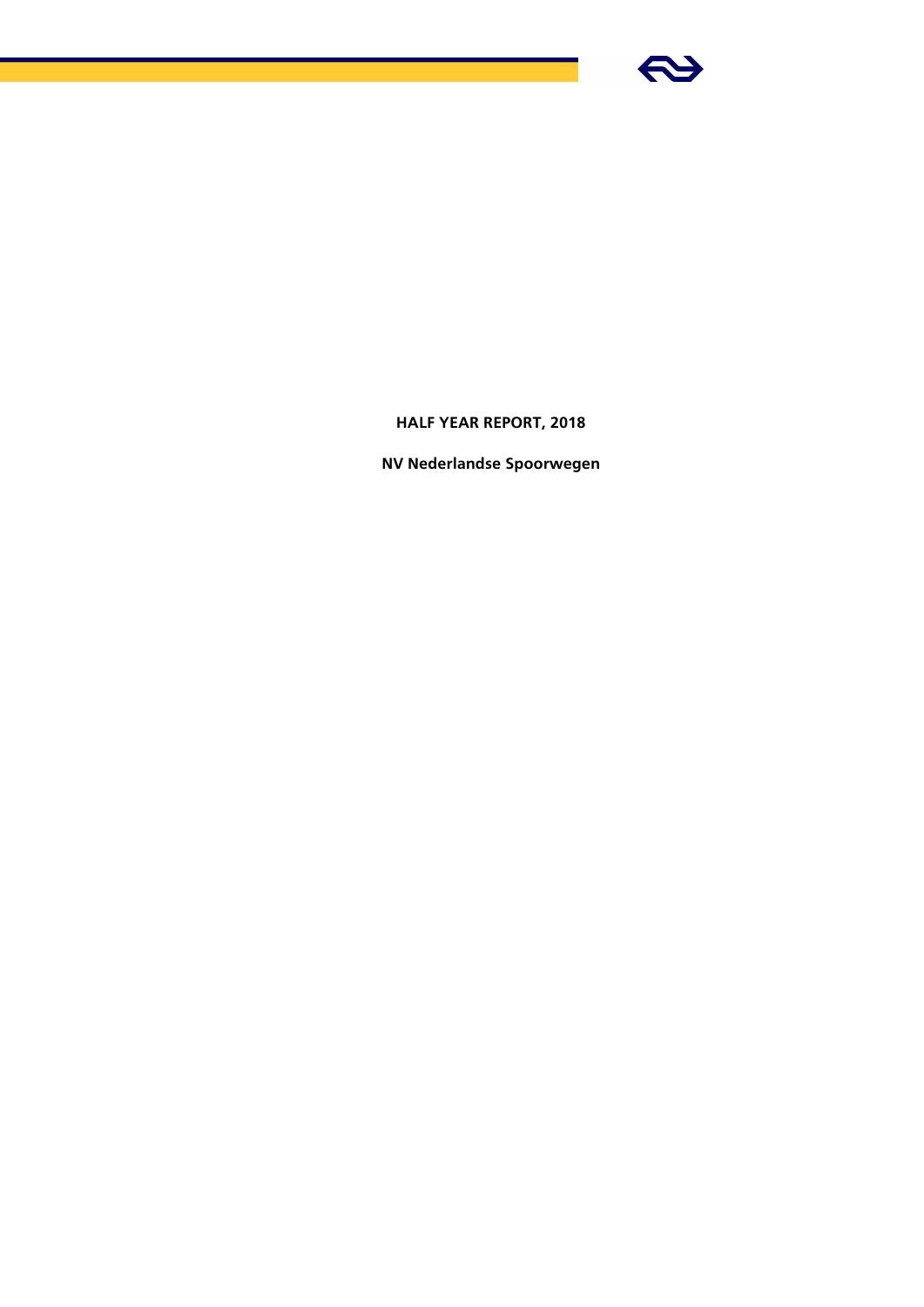

# **HALF YEAR REPORT, 2018**

**NV Nederlandse Spoorwegen**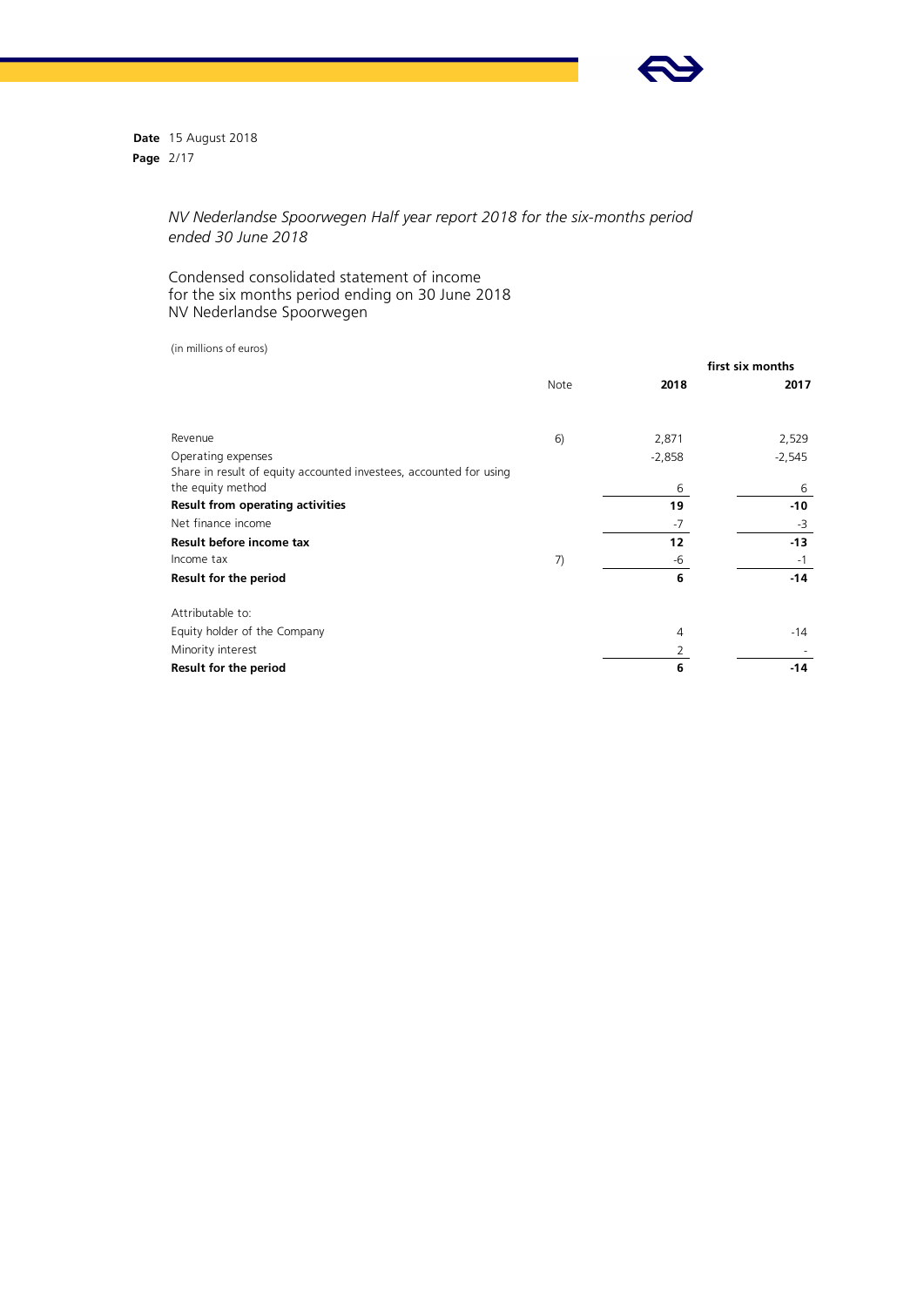

**Date** 15 August 2018 **Page** 2/17

# *NV Nederlandse Spoorwegen Half year report 2018 for the six-months period ended 30 June 2018*

## Condensed consolidated statement of income for the six months period ending on 30 June 2018 NV Nederlandse Spoorwegen

(in millions of euros)

|                                                                    | first six months |          |          |
|--------------------------------------------------------------------|------------------|----------|----------|
|                                                                    | Note             | 2018     | 2017     |
| Revenue                                                            | 6)               | 2,871    | 2,529    |
| Operating expenses                                                 |                  | $-2,858$ | $-2,545$ |
| Share in result of equity accounted investees, accounted for using |                  |          |          |
| the equity method                                                  |                  | 6        | 6        |
| Result from operating activities                                   |                  | 19       | $-10$    |
| Net finance income                                                 |                  | $-7$     | -3       |
| Result before income tax                                           |                  | 12       | $-13$    |
| Income tax                                                         | 7)               | -6       | $-1$     |
| Result for the period                                              |                  | 6        | $-14$    |
| Attributable to:                                                   |                  |          |          |
| Equity holder of the Company                                       |                  | 4        | $-14$    |
| Minority interest                                                  |                  | 2        |          |
| Result for the period                                              |                  | 6        | $-14$    |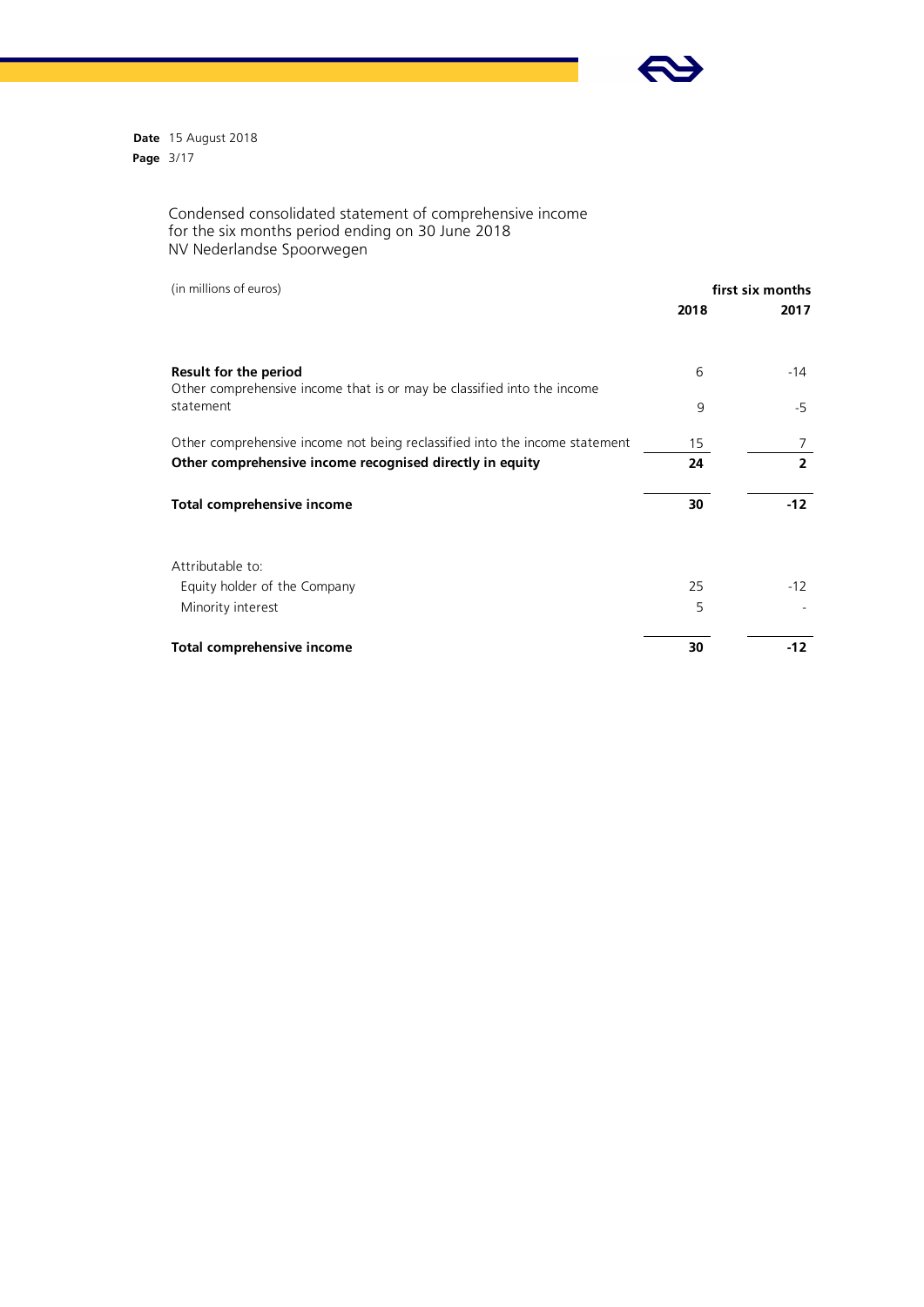

**Date** 15 August 2018 **Page** 3/17

#### Condensed consolidated statement of comprehensive income for the six months period ending on 30 June 2018 NV Nederlandse Spoorwegen

(in millions of euros)

| (in millions of euros)                                                                           |      | first six months |  |  |
|--------------------------------------------------------------------------------------------------|------|------------------|--|--|
|                                                                                                  | 2018 | 2017             |  |  |
| Result for the period<br>Other comprehensive income that is or may be classified into the income | 6    | -14              |  |  |
| statement                                                                                        | 9    | -5               |  |  |
| Other comprehensive income not being reclassified into the income statement                      | 15   |                  |  |  |
| Other comprehensive income recognised directly in equity                                         | 24   | $\overline{2}$   |  |  |
| Total comprehensive income                                                                       | 30   | $-12$            |  |  |
| Attributable to:                                                                                 |      |                  |  |  |
| Equity holder of the Company                                                                     | 25   | $-12$            |  |  |
| Minority interest                                                                                | 5    |                  |  |  |
| Total comprehensive income                                                                       | 30   | $-12$            |  |  |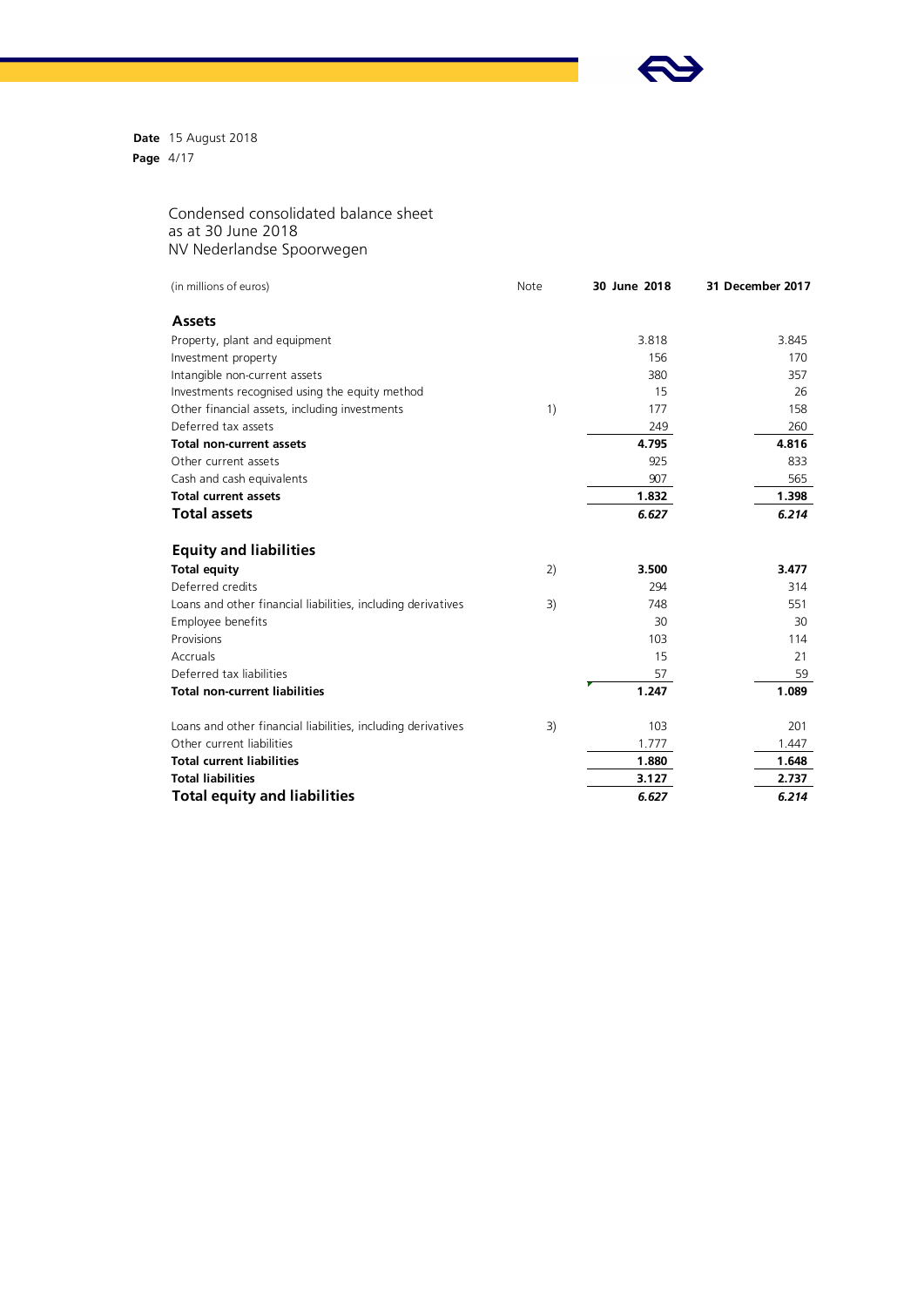

**Date** 15 August 2018 **Page** 4/17

> Condensed consolidated balance sheet as at 30 June 2018 NV Nederlandse Spoorwegen

| (in millions of euros)                                       | Note | 30 June 2018 | 31 December 2017 |
|--------------------------------------------------------------|------|--------------|------------------|
| <b>Assets</b>                                                |      |              |                  |
| Property, plant and equipment                                |      | 3.818        | 3.845            |
| Investment property                                          |      | 156          | 170              |
| Intangible non-current assets                                |      | 380          | 357              |
| Investments recognised using the equity method               |      | 15           | 26               |
| Other financial assets, including investments                | 1)   | 177          | 158              |
| Deferred tax assets                                          |      | 249          | 260              |
| <b>Total non-current assets</b>                              |      | 4.795        | 4.816            |
| Other current assets                                         |      | 925          | 833              |
| Cash and cash equivalents                                    |      | 907          | 565              |
| <b>Total current assets</b>                                  |      | 1.832        | 1.398            |
| <b>Total assets</b>                                          |      | 6.627        | 6.214            |
| <b>Equity and liabilities</b>                                |      |              |                  |
| <b>Total equity</b>                                          | 2)   | 3.500        | 3.477            |
| Deferred credits                                             |      | 294          | 314              |
| Loans and other financial liabilities, including derivatives | 3)   | 748          | 551              |
| Employee benefits                                            |      | 30           | 30               |
| Provisions                                                   |      | 103          | 114              |
| Accruals                                                     |      | 15           | 21               |
| Deferred tax liabilities                                     |      | 57           | 59               |
| <b>Total non-current liabilities</b>                         |      | 1.247        | 1.089            |
| Loans and other financial liabilities, including derivatives | 3)   | 103          | 201              |
| Other current liabilities                                    |      | 1.777        | 1.447            |
| <b>Total current liabilities</b>                             |      | 1.880        | 1.648            |
| <b>Total liabilities</b>                                     |      | 3.127        | 2.737            |
| <b>Total equity and liabilities</b>                          |      | 6.627        | 6.214            |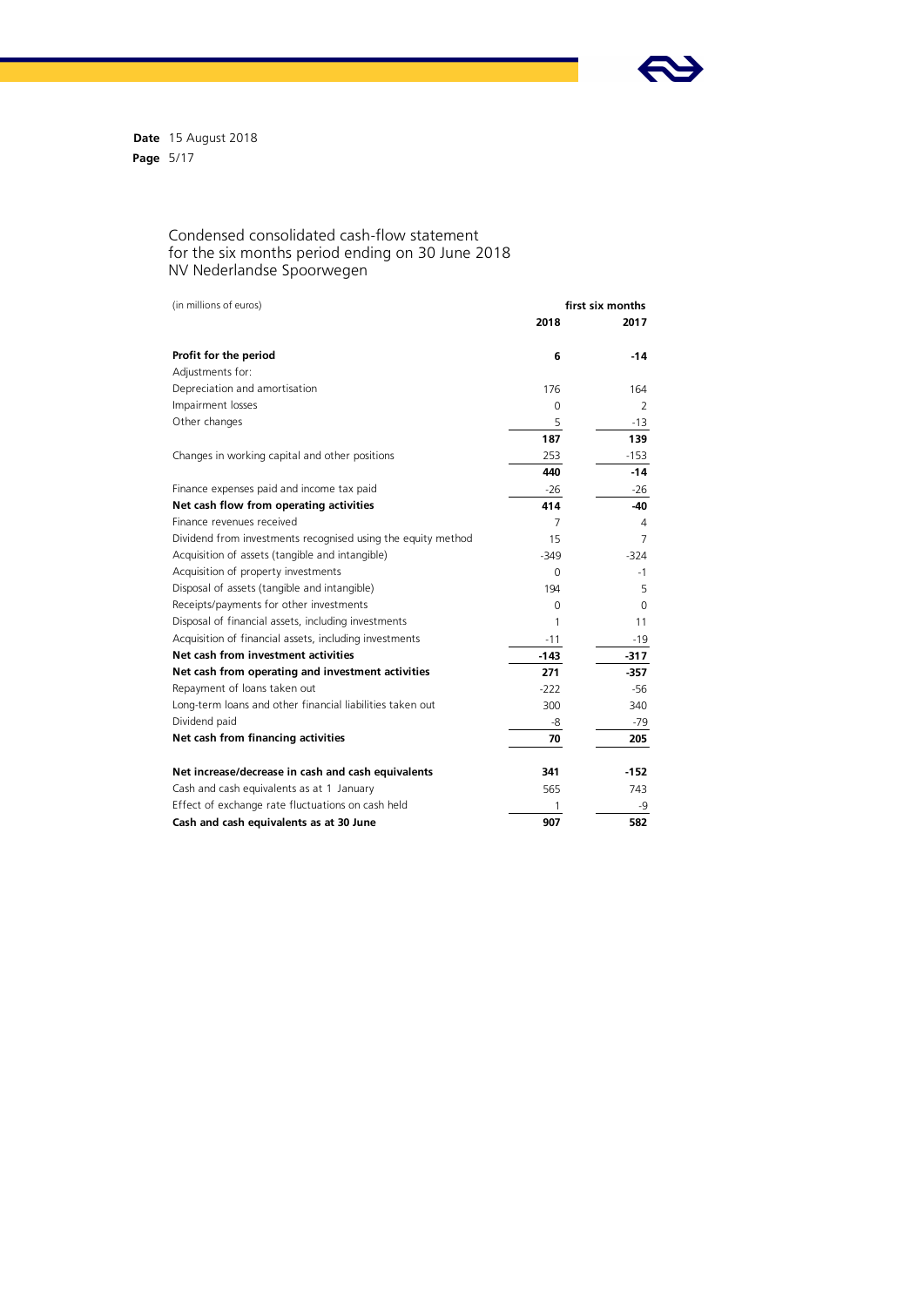

**Date** 15 August 2018 **Page** 5/17

#### Condensed consolidated cash-flow statement for the six months period ending on 30 June 2018 NV Nederlandse Spoorwegen

| (in millions of euros)                                       | first six months |        |  |
|--------------------------------------------------------------|------------------|--------|--|
|                                                              | 2018             | 2017   |  |
| Profit for the period                                        | 6                | $-14$  |  |
| Adjustments for:                                             |                  |        |  |
| Depreciation and amortisation                                | 176              | 164    |  |
| Impairment losses                                            | 0                | 2      |  |
| Other changes                                                | 5                | -13    |  |
|                                                              | 187              | 139    |  |
| Changes in working capital and other positions               | 253              | $-153$ |  |
|                                                              | 440              | $-14$  |  |
| Finance expenses paid and income tax paid                    | $-26$            | $-26$  |  |
| Net cash flow from operating activities                      | 414              | $-40$  |  |
| Finance revenues received                                    | 7                | 4      |  |
| Dividend from investments recognised using the equity method | 15               | 7      |  |
| Acquisition of assets (tangible and intangible)              | $-349$           | $-324$ |  |
| Acquisition of property investments                          | $\Omega$         | $-1$   |  |
| Disposal of assets (tangible and intangible)                 | 194              | 5      |  |
| Receipts/payments for other investments                      | 0                | 0      |  |
| Disposal of financial assets, including investments          | 1                | 11     |  |
| Acquisition of financial assets, including investments       | $-11$            | $-19$  |  |
| Net cash from investment activities                          | $-143$           | $-317$ |  |
| Net cash from operating and investment activities            | 271              | $-357$ |  |
| Repayment of loans taken out                                 | $-222$           | $-56$  |  |
| Long-term loans and other financial liabilities taken out    | 300              | 340    |  |
| Dividend paid                                                | -8               | $-79$  |  |
| Net cash from financing activities                           | 70               | 205    |  |
| Net increase/decrease in cash and cash equivalents           | 341              | $-152$ |  |
| Cash and cash equivalents as at 1 January                    | 565              | 743    |  |
| Effect of exchange rate fluctuations on cash held            | 1                | -9     |  |
| Cash and cash equivalents as at 30 June                      | 907              | 582    |  |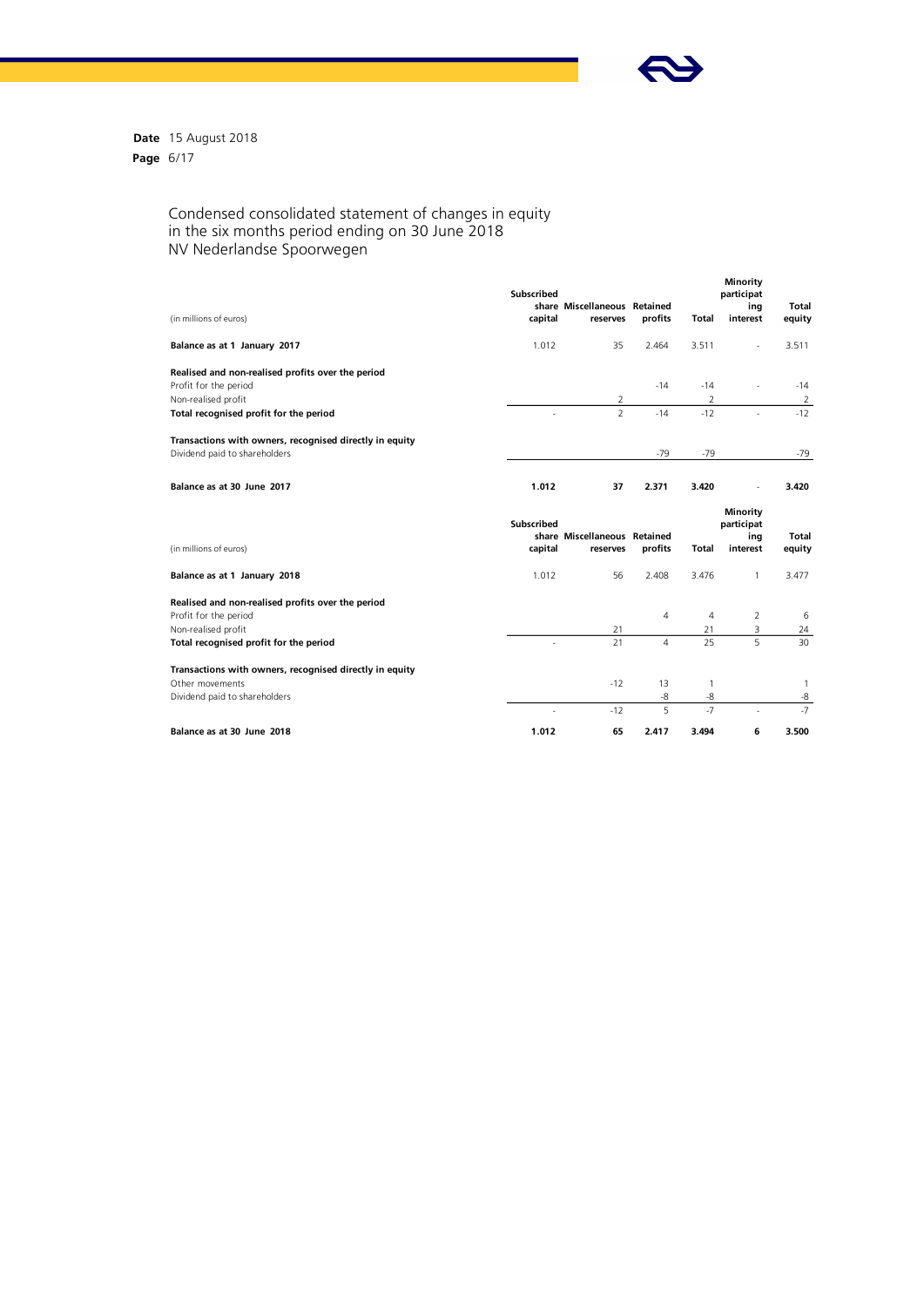

**Date** 15 August 2018 **Page** 6/17

#### Condensed consolidated statement of changes in equity in the six months period ending on 30 June 2018 NV Nederlandse Spoorwegen

|                                                         | Subscribed        |                              |                |                | Minority<br>participat |              |
|---------------------------------------------------------|-------------------|------------------------------|----------------|----------------|------------------------|--------------|
|                                                         |                   | share Miscellaneous Retained |                |                | ing                    | <b>Total</b> |
| (in millions of euros)                                  | capital           | reserves                     | profits        | <b>Total</b>   | interest               | equity       |
| Balance as at 1 January 2017                            | 1.012             | 35                           | 2.464          | 3.511          |                        | 3.511        |
| Realised and non-realised profits over the period       |                   |                              |                |                |                        |              |
| Profit for the period                                   |                   |                              | $-14$          | $-14$          | $\sim$                 | $-14$        |
| Non-realised profit                                     |                   | 2                            |                | $\overline{2}$ |                        | 2            |
| Total recognised profit for the period                  |                   | $\overline{z}$               | $-14$          | $-12$          |                        | $-12$        |
| Transactions with owners, recognised directly in equity |                   |                              |                |                |                        |              |
| Dividend paid to shareholders                           |                   |                              | $-79$          | $-79$          |                        | $-79$        |
| Balance as at 30 June 2017                              | 1.012             | 37                           | 2.371          | 3.420          |                        | 3.420        |
|                                                         |                   |                              |                |                |                        |              |
|                                                         | <b>Subscribed</b> |                              |                |                | Minority<br>participat |              |
|                                                         |                   | share Miscellaneous Retained |                |                | ing                    | <b>Total</b> |
| (in millions of euros)                                  | capital           | reserves                     | profits        | <b>Total</b>   | interest               | equity       |
| Balance as at 1 January 2018                            | 1.012             | 56                           | 2.408          | 3.476          | $\mathbf{1}$           | 3.477        |
| Realised and non-realised profits over the period       |                   |                              |                |                |                        |              |
| Profit for the period                                   |                   |                              | $\overline{4}$ | $\overline{4}$ | $\overline{2}$         | 6            |
| Non-realised profit                                     |                   | 21                           |                | 21             | 3                      | 24           |
| Total recognised profit for the period                  |                   | 21                           | $\overline{4}$ | 25             | 5                      | 30           |
| Transactions with owners, recognised directly in equity |                   |                              |                |                |                        |              |
| Other movements                                         |                   | $-12$                        | 13             | $\mathbf{1}$   |                        | 1            |
| Dividend paid to shareholders                           |                   |                              | -8             | -8             |                        | -8           |
|                                                         |                   | $-12$                        | 5              | $-7$           |                        | $-7$         |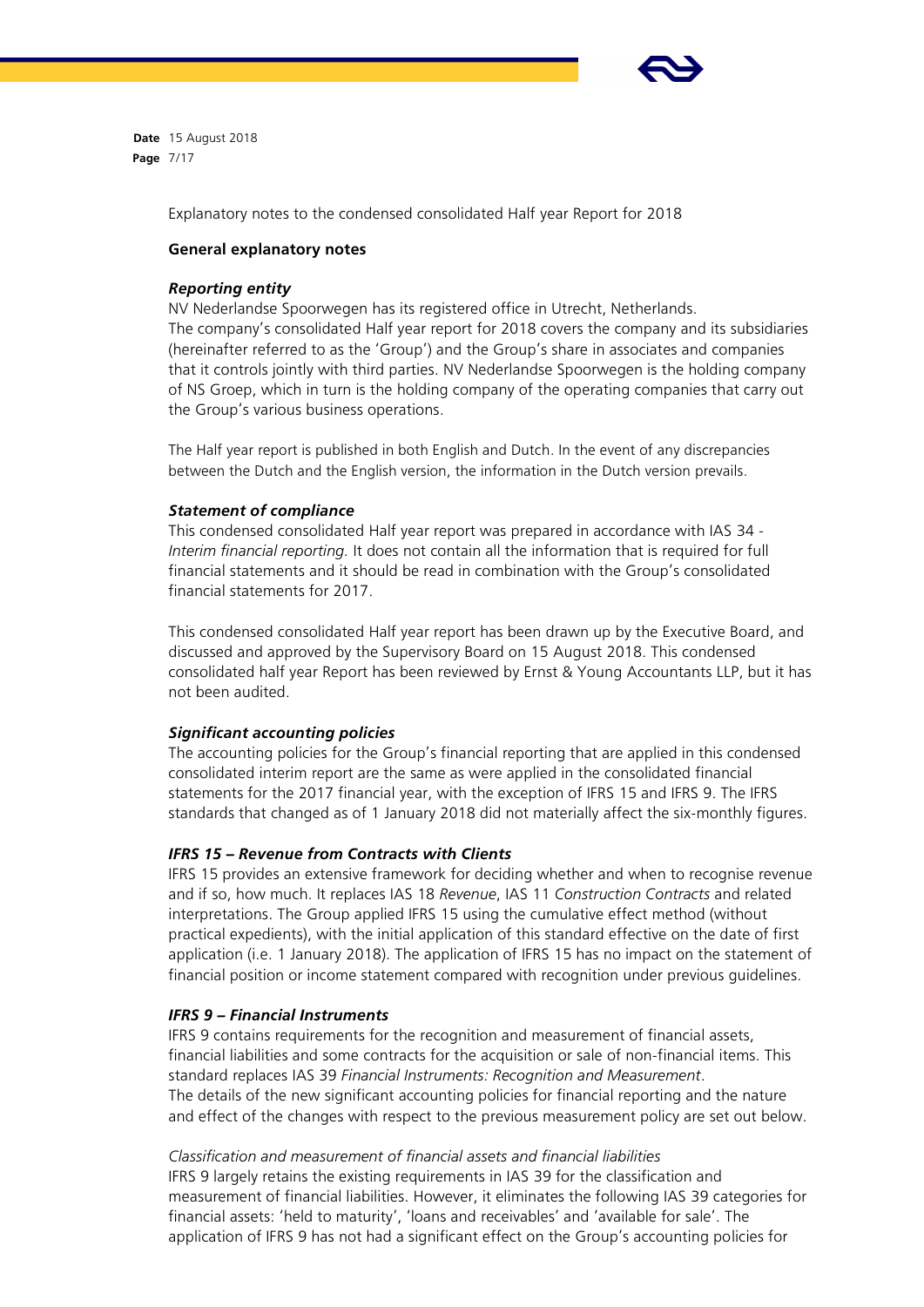

**Date** 15 August 2018 **Page** 7/17

Explanatory notes to the condensed consolidated Half year Report for 2018

## **General explanatory notes**

## *Reporting entity*

NV Nederlandse Spoorwegen has its registered office in Utrecht, Netherlands. The company's consolidated Half year report for 2018 covers the company and its subsidiaries (hereinafter referred to as the 'Group') and the Group's share in associates and companies that it controls jointly with third parties. NV Nederlandse Spoorwegen is the holding company of NS Groep, which in turn is the holding company of the operating companies that carry out the Group's various business operations.

The Half year report is published in both English and Dutch. In the event of any discrepancies between the Dutch and the English version, the information in the Dutch version prevails.

## *Statement of compliance*

This condensed consolidated Half year report was prepared in accordance with IAS 34 - *Interim financial reporting.* It does not contain all the information that is required for full financial statements and it should be read in combination with the Group's consolidated financial statements for 2017.

This condensed consolidated Half year report has been drawn up by the Executive Board, and discussed and approved by the Supervisory Board on 15 August 2018. This condensed consolidated half year Report has been reviewed by Ernst & Young Accountants LLP, but it has not been audited.

## *Significant accounting policies*

The accounting policies for the Group's financial reporting that are applied in this condensed consolidated interim report are the same as were applied in the consolidated financial statements for the 2017 financial year, with the exception of IFRS 15 and IFRS 9. The IFRS standards that changed as of 1 January 2018 did not materially affect the six-monthly figures.

#### *IFRS 15 – Revenue from Contracts with Clients*

IFRS 15 provides an extensive framework for deciding whether and when to recognise revenue and if so, how much. It replaces IAS 18 *Revenue*, IAS 11 *Construction Contracts* and related interpretations. The Group applied IFRS 15 using the cumulative effect method (without practical expedients), with the initial application of this standard effective on the date of first application (i.e. 1 January 2018). The application of IFRS 15 has no impact on the statement of financial position or income statement compared with recognition under previous guidelines.

#### *IFRS 9 – Financial Instruments*

IFRS 9 contains requirements for the recognition and measurement of financial assets, financial liabilities and some contracts for the acquisition or sale of non-financial items. This standard replaces IAS 39 *Financial Instruments: Recognition and Measurement*. The details of the new significant accounting policies for financial reporting and the nature and effect of the changes with respect to the previous measurement policy are set out below.

## *Classification and measurement of financial assets and financial liabilities*

IFRS 9 largely retains the existing requirements in IAS 39 for the classification and measurement of financial liabilities. However, it eliminates the following IAS 39 categories for financial assets: 'held to maturity', 'loans and receivables' and 'available for sale'. The application of IFRS 9 has not had a significant effect on the Group's accounting policies for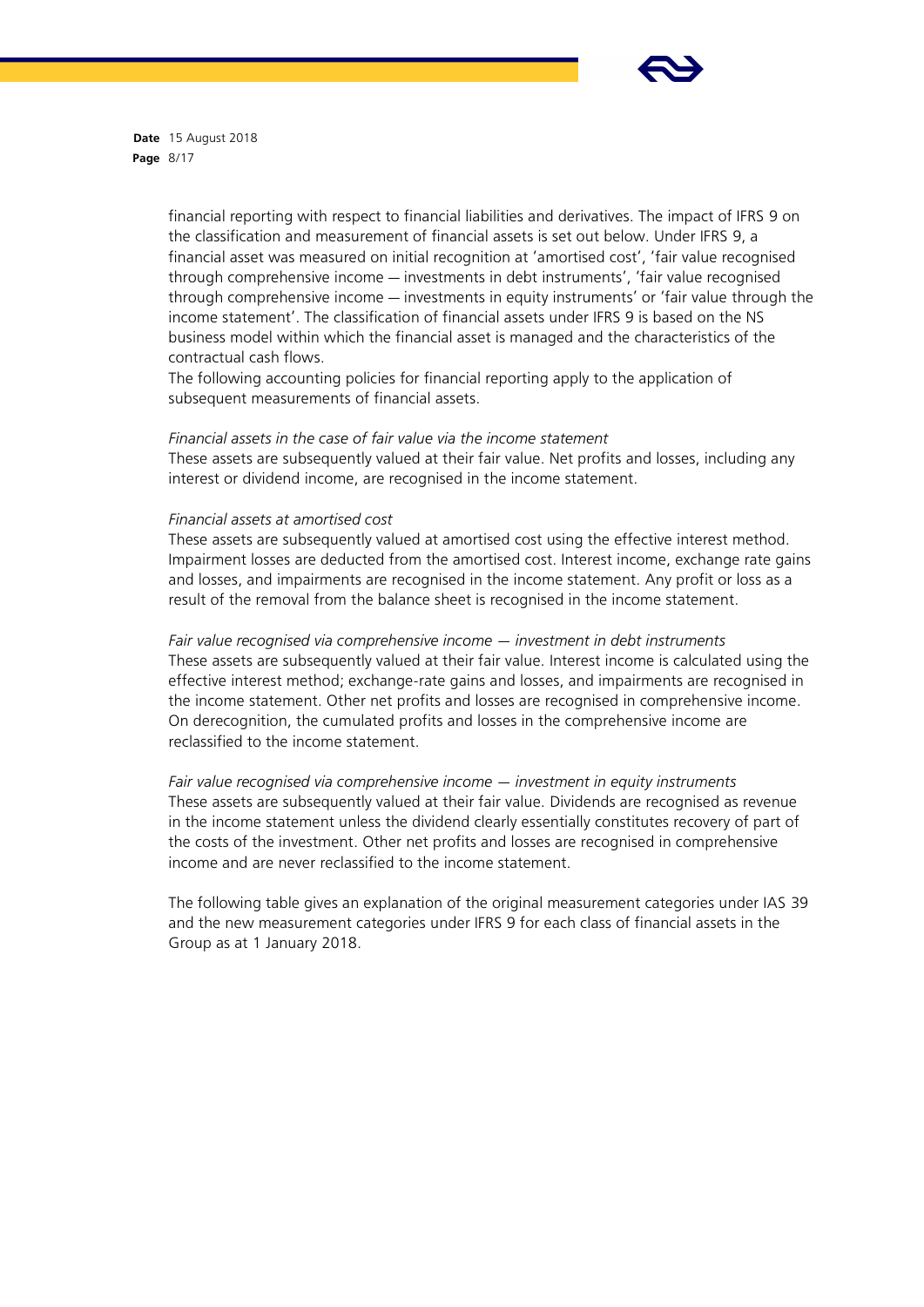

**Date** 15 August 2018 **Page** 8/17

> financial reporting with respect to financial liabilities and derivatives. The impact of IFRS 9 on the classification and measurement of financial assets is set out below. Under IFRS 9, a financial asset was measured on initial recognition at 'amortised cost', 'fair value recognised through comprehensive income — investments in debt instruments', 'fair value recognised through comprehensive income — investments in equity instruments' or 'fair value through the income statement'. The classification of financial assets under IFRS 9 is based on the NS business model within which the financial asset is managed and the characteristics of the contractual cash flows.

The following accounting policies for financial reporting apply to the application of subsequent measurements of financial assets.

*Financial assets in the case of fair value via the income statement* These assets are subsequently valued at their fair value. Net profits and losses, including any interest or dividend income, are recognised in the income statement.

#### *Financial assets at amortised cost*

These assets are subsequently valued at amortised cost using the effective interest method. Impairment losses are deducted from the amortised cost. Interest income, exchange rate gains and losses, and impairments are recognised in the income statement. Any profit or loss as a result of the removal from the balance sheet is recognised in the income statement.

*Fair value recognised via comprehensive income — investment in debt instruments* These assets are subsequently valued at their fair value. Interest income is calculated using the effective interest method; exchange-rate gains and losses, and impairments are recognised in the income statement. Other net profits and losses are recognised in comprehensive income. On derecognition, the cumulated profits and losses in the comprehensive income are reclassified to the income statement.

*Fair value recognised via comprehensive income — investment in equity instruments* These assets are subsequently valued at their fair value. Dividends are recognised as revenue in the income statement unless the dividend clearly essentially constitutes recovery of part of the costs of the investment. Other net profits and losses are recognised in comprehensive income and are never reclassified to the income statement.

The following table gives an explanation of the original measurement categories under IAS 39 and the new measurement categories under IFRS 9 for each class of financial assets in the Group as at 1 January 2018.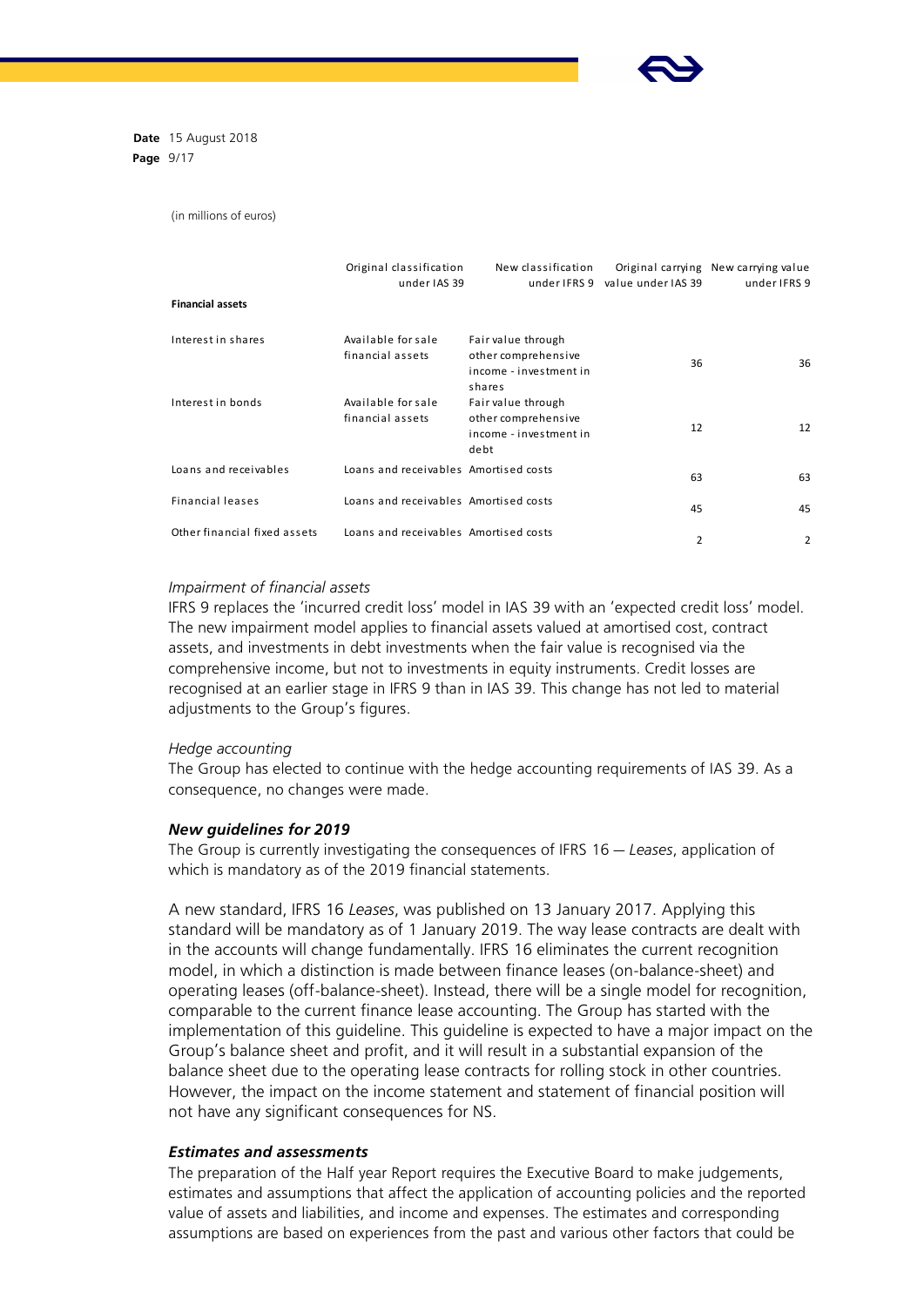

**Date** 15 August 2018 **Page** 9/17

(in millions of euros)

|                              | Original classification<br>under IAS 39 | New classification<br>under IFRS 9                                            | value under IAS 39 | Original carrying New carrying value<br>under IFRS 9 |
|------------------------------|-----------------------------------------|-------------------------------------------------------------------------------|--------------------|------------------------------------------------------|
| <b>Financial assets</b>      |                                         |                                                                               |                    |                                                      |
| Interest in shares           | Available for sale<br>financial assets  | Fair value through<br>other comprehensive<br>income - investment in<br>shares | 36                 | 36                                                   |
| Interest in bonds            | Available for sale<br>financial assets  | Fair value through<br>other comprehensive<br>income - investment in<br>debt   | 12                 | 12                                                   |
| Loans and receivables        | Loans and receivables Amortised costs   |                                                                               | 63                 | 63                                                   |
| <b>Financial leases</b>      | Loans and receivables Amortised costs   |                                                                               | 45                 | 45                                                   |
| Other financial fixed assets | Loans and receivables Amortised costs   |                                                                               | 2                  | 2                                                    |

## *Impairment of financial assets*

IFRS 9 replaces the 'incurred credit loss' model in IAS 39 with an 'expected credit loss' model. The new impairment model applies to financial assets valued at amortised cost, contract assets, and investments in debt investments when the fair value is recognised via the comprehensive income, but not to investments in equity instruments. Credit losses are recognised at an earlier stage in IFRS 9 than in IAS 39. This change has not led to material adjustments to the Group's figures.

#### *Hedge accounting*

The Group has elected to continue with the hedge accounting requirements of IAS 39. As a consequence, no changes were made.

#### *New guidelines for 2019*

The Group is currently investigating the consequences of IFRS 16 — *Leases*, application of which is mandatory as of the 2019 financial statements.

A new standard, IFRS 16 *Leases*, was published on 13 January 2017. Applying this standard will be mandatory as of 1 January 2019. The way lease contracts are dealt with in the accounts will change fundamentally. IFRS 16 eliminates the current recognition model, in which a distinction is made between finance leases (on-balance-sheet) and operating leases (off-balance-sheet). Instead, there will be a single model for recognition, comparable to the current finance lease accounting. The Group has started with the implementation of this guideline. This guideline is expected to have a major impact on the Group's balance sheet and profit, and it will result in a substantial expansion of the balance sheet due to the operating lease contracts for rolling stock in other countries. However, the impact on the income statement and statement of financial position will not have any significant consequences for NS.

## *Estimates and assessments*

The preparation of the Half year Report requires the Executive Board to make judgements, estimates and assumptions that affect the application of accounting policies and the reported value of assets and liabilities, and income and expenses. The estimates and corresponding assumptions are based on experiences from the past and various other factors that could be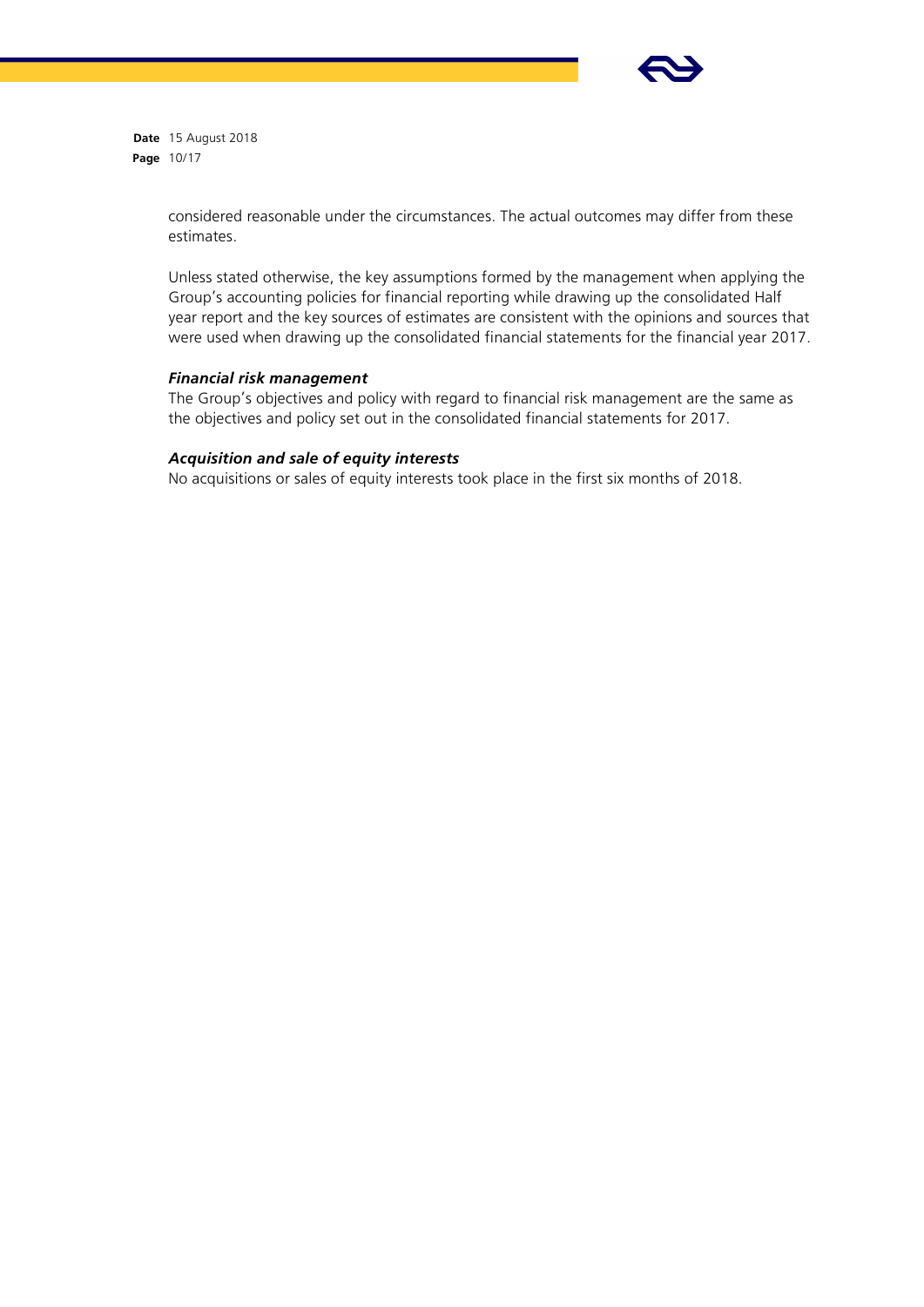

**Date** 15 August 2018 **Page** 10/17

> considered reasonable under the circumstances. The actual outcomes may differ from these estimates.

Unless stated otherwise, the key assumptions formed by the management when applying the Group's accounting policies for financial reporting while drawing up the consolidated Half year report and the key sources of estimates are consistent with the opinions and sources that were used when drawing up the consolidated financial statements for the financial year 2017.

## *Financial risk management*

The Group's objectives and policy with regard to financial risk management are the same as the objectives and policy set out in the consolidated financial statements for 2017.

# *Acquisition and sale of equity interests*

No acquisitions or sales of equity interests took place in the first six months of 2018.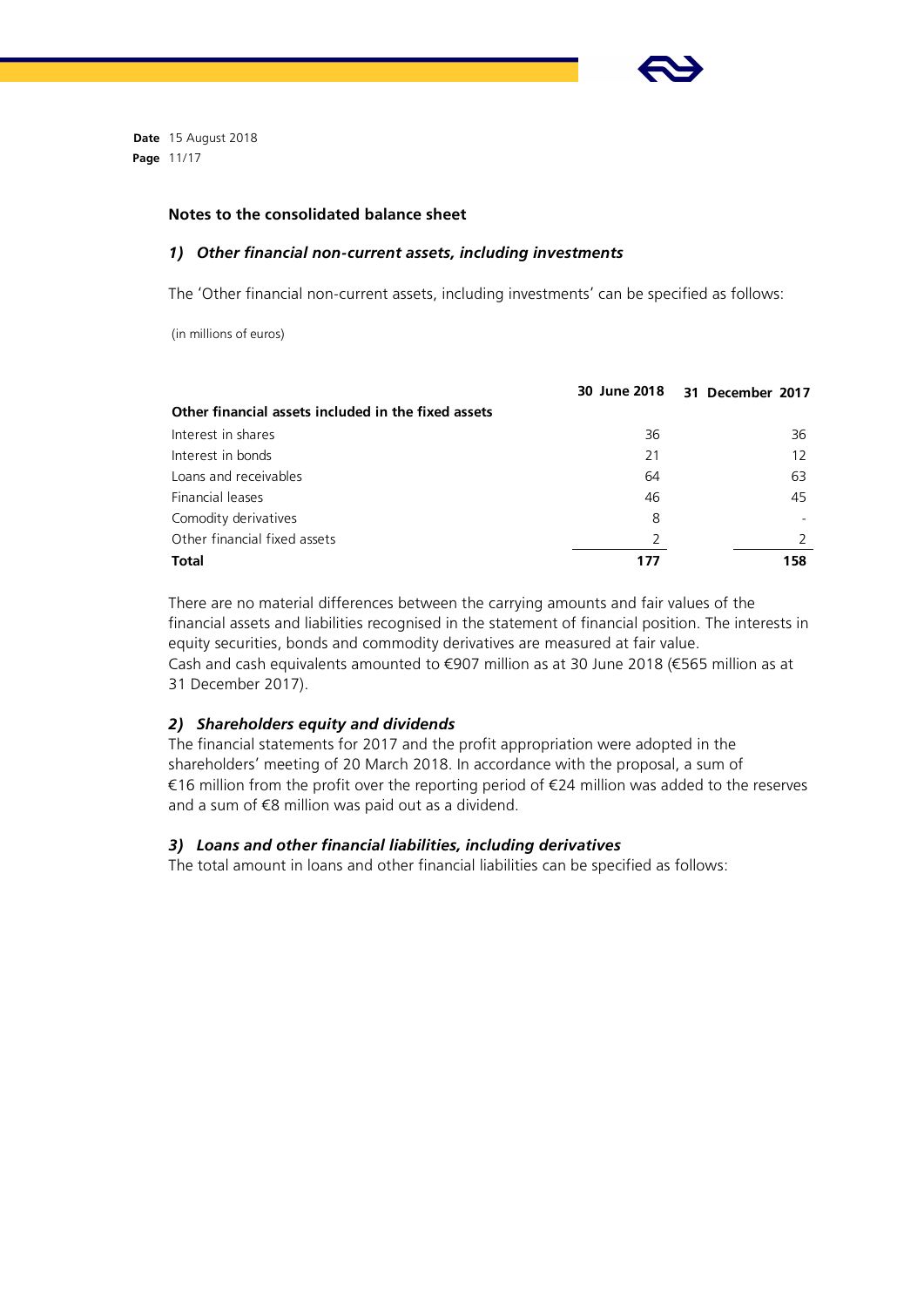

**Date** 15 August 2018 **Page** 11/17

## **Notes to the consolidated balance sheet**

#### *1) Other financial non-current assets, including investments*

The 'Other financial non-current assets, including investments' can be specified as follows:

(in millions of euros)

|                                                     |    | 30 June 2018 31 December 2017 |
|-----------------------------------------------------|----|-------------------------------|
| Other financial assets included in the fixed assets |    |                               |
| Interest in shares                                  | 36 | 36                            |
| Interest in bonds                                   | 21 | 12                            |
| Loans and receivables                               | 64 | 63                            |
| Financial leases                                    | 46 | 45                            |
| Comodity derivatives                                | 8  |                               |
| Other financial fixed assets                        | 2  |                               |
| <b>Total</b>                                        |    | 158                           |

There are no material differences between the carrying amounts and fair values of the financial assets and liabilities recognised in the statement of financial position. The interests in equity securities, bonds and commodity derivatives are measured at fair value. Cash and cash equivalents amounted to €907 million as at 30 June 2018 (€565 million as at 31 December 2017).

## *2) Shareholders equity and dividends*

The financial statements for 2017 and the profit appropriation were adopted in the shareholders' meeting of 20 March 2018. In accordance with the proposal, a sum of €16 million from the profit over the reporting period of €24 million was added to the reserves and a sum of €8 million was paid out as a dividend.

## *3) Loans and other financial liabilities, including derivatives*

The total amount in loans and other financial liabilities can be specified as follows: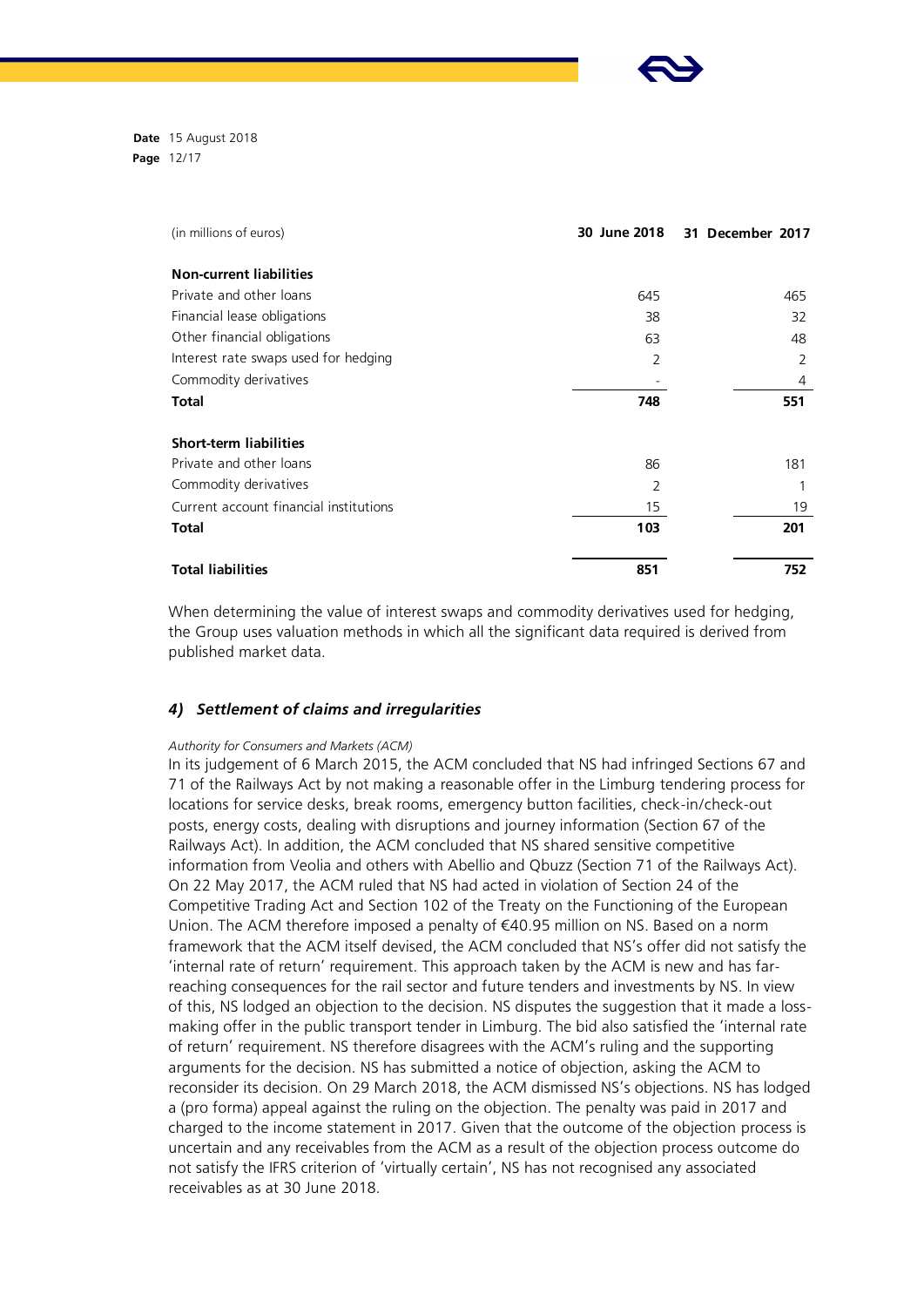**Date** 15 August 2018 **Page** 12/17

| (in millions of euros)                 | 30 June 2018   | 31 December 2017 |
|----------------------------------------|----------------|------------------|
| <b>Non-current liabilities</b>         |                |                  |
| Private and other loans                | 645            | 465              |
| Financial lease obligations            | 38             | 32               |
| Other financial obligations            | 63             | 48               |
| Interest rate swaps used for hedging   | $\overline{2}$ | 2                |
| Commodity derivatives                  |                | 4                |
| <b>Total</b>                           | 748            | 551              |
| <b>Short-term liabilities</b>          |                |                  |
| Private and other loans                | 86             | 181              |
| Commodity derivatives                  | $\overline{2}$ |                  |
| Current account financial institutions | 15             | 19               |
| <b>Total</b>                           | 103            | 201              |
| <b>Total liabilities</b>               | 851            | 752              |

When determining the value of interest swaps and commodity derivatives used for hedging, the Group uses valuation methods in which all the significant data required is derived from published market data.

## *4) Settlement of claims and irregularities*

#### *Authority for Consumers and Markets (ACM)*

In its judgement of 6 March 2015, the ACM concluded that NS had infringed Sections 67 and 71 of the Railways Act by not making a reasonable offer in the Limburg tendering process for locations for service desks, break rooms, emergency button facilities, check-in/check-out posts, energy costs, dealing with disruptions and journey information (Section 67 of the Railways Act). In addition, the ACM concluded that NS shared sensitive competitive information from Veolia and others with Abellio and Qbuzz (Section 71 of the Railways Act). On 22 May 2017, the ACM ruled that NS had acted in violation of Section 24 of the Competitive Trading Act and Section 102 of the Treaty on the Functioning of the European Union. The ACM therefore imposed a penalty of €40.95 million on NS. Based on a norm framework that the ACM itself devised, the ACM concluded that NS's offer did not satisfy the 'internal rate of return' requirement. This approach taken by the ACM is new and has farreaching consequences for the rail sector and future tenders and investments by NS. In view of this, NS lodged an objection to the decision. NS disputes the suggestion that it made a lossmaking offer in the public transport tender in Limburg. The bid also satisfied the 'internal rate of return' requirement. NS therefore disagrees with the ACM's ruling and the supporting arguments for the decision. NS has submitted a notice of objection, asking the ACM to reconsider its decision. On 29 March 2018, the ACM dismissed NS's objections. NS has lodged a (pro forma) appeal against the ruling on the objection. The penalty was paid in 2017 and charged to the income statement in 2017. Given that the outcome of the objection process is uncertain and any receivables from the ACM as a result of the objection process outcome do not satisfy the IFRS criterion of 'virtually certain', NS has not recognised any associated receivables as at 30 June 2018.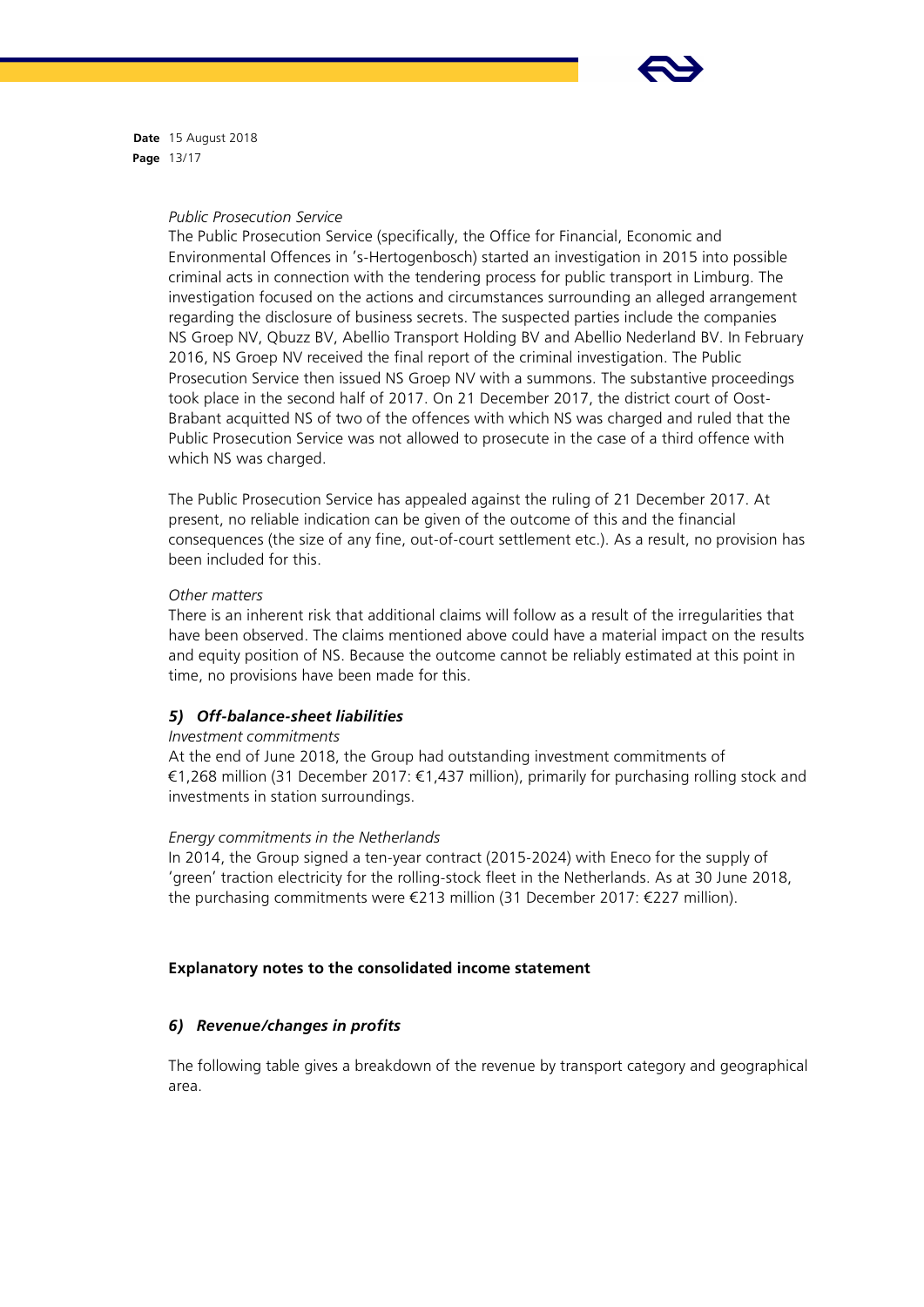

**Date** 15 August 2018 **Page** 13/17

*Public Prosecution Service*

The Public Prosecution Service (specifically, the Office for Financial, Economic and Environmental Offences in 's-Hertogenbosch) started an investigation in 2015 into possible criminal acts in connection with the tendering process for public transport in Limburg. The investigation focused on the actions and circumstances surrounding an alleged arrangement regarding the disclosure of business secrets. The suspected parties include the companies NS Groep NV, Qbuzz BV, Abellio Transport Holding BV and Abellio Nederland BV. In February 2016, NS Groep NV received the final report of the criminal investigation. The Public Prosecution Service then issued NS Groep NV with a summons. The substantive proceedings took place in the second half of 2017. On 21 December 2017, the district court of Oost-Brabant acquitted NS of two of the offences with which NS was charged and ruled that the Public Prosecution Service was not allowed to prosecute in the case of a third offence with which NS was charged.

The Public Prosecution Service has appealed against the ruling of 21 December 2017. At present, no reliable indication can be given of the outcome of this and the financial consequences (the size of any fine, out-of-court settlement etc.). As a result, no provision has been included for this.

## *Other matters*

There is an inherent risk that additional claims will follow as a result of the irregularities that have been observed. The claims mentioned above could have a material impact on the results and equity position of NS. Because the outcome cannot be reliably estimated at this point in time, no provisions have been made for this.

# *5) Off-balance-sheet liabilities*

## *Investment commitments*

At the end of June 2018, the Group had outstanding investment commitments of €1,268 million (31 December 2017: €1,437 million), primarily for purchasing rolling stock and investments in station surroundings.

# *Energy commitments in the Netherlands*

In 2014, the Group signed a ten-year contract (2015-2024) with Eneco for the supply of 'green' traction electricity for the rolling-stock fleet in the Netherlands. As at 30 June 2018, the purchasing commitments were €213 million (31 December 2017: €227 million).

# **Explanatory notes to the consolidated income statement**

# *6) Revenue/changes in profits*

The following table gives a breakdown of the revenue by transport category and geographical area.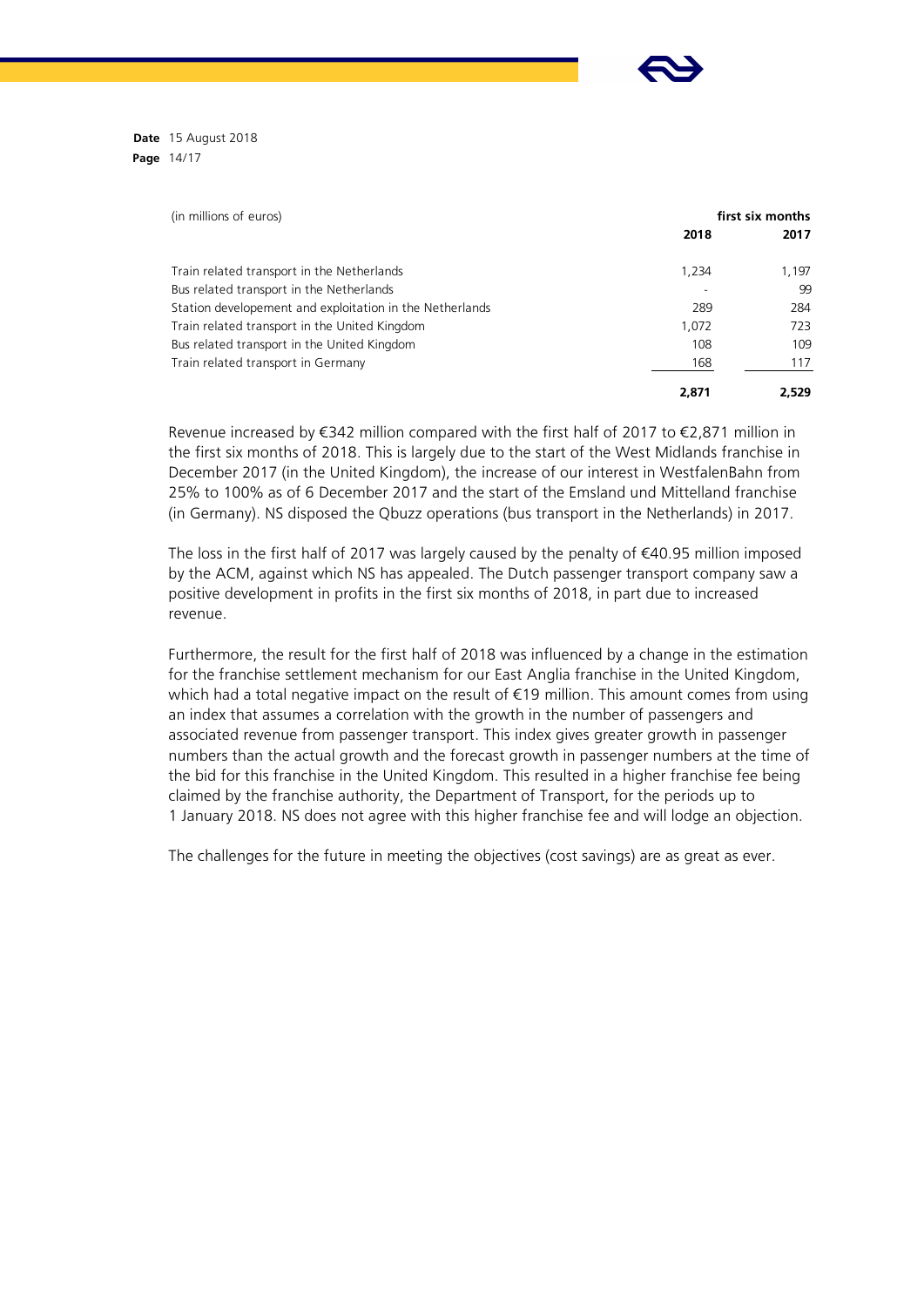**Date** 15 August 2018 **Page** 14/17

| (in millions of euros)                                   |       | first six months |  |
|----------------------------------------------------------|-------|------------------|--|
|                                                          | 2018  | 2017             |  |
| Train related transport in the Netherlands               | 1,234 | 1,197            |  |
| Bus related transport in the Netherlands                 |       | 99               |  |
| Station developement and exploitation in the Netherlands | 289   | 284              |  |
| Train related transport in the United Kingdom            | 1,072 | 723              |  |
| Bus related transport in the United Kingdom              | 108   | 109              |  |
| Train related transport in Germany                       | 168   | 117              |  |
|                                                          | 2,871 | 2.529            |  |

Revenue increased by €342 million compared with the first half of 2017 to €2,871 million in the first six months of 2018. This is largely due to the start of the West Midlands franchise in December 2017 (in the United Kingdom), the increase of our interest in WestfalenBahn from 25% to 100% as of 6 December 2017 and the start of the Emsland und Mittelland franchise (in Germany). NS disposed the Qbuzz operations (bus transport in the Netherlands) in 2017.

The loss in the first half of 2017 was largely caused by the penalty of  $\epsilon$ 40.95 million imposed by the ACM, against which NS has appealed. The Dutch passenger transport company saw a positive development in profits in the first six months of 2018, in part due to increased revenue.

Furthermore, the result for the first half of 2018 was influenced by a change in the estimation for the franchise settlement mechanism for our East Anglia franchise in the United Kingdom, which had a total negative impact on the result of €19 million. This amount comes from using an index that assumes a correlation with the growth in the number of passengers and associated revenue from passenger transport. This index gives greater growth in passenger numbers than the actual growth and the forecast growth in passenger numbers at the time of the bid for this franchise in the United Kingdom. This resulted in a higher franchise fee being claimed by the franchise authority, the Department of Transport, for the periods up to 1 January 2018. NS does not agree with this higher franchise fee and will lodge an objection.

The challenges for the future in meeting the objectives (cost savings) are as great as ever.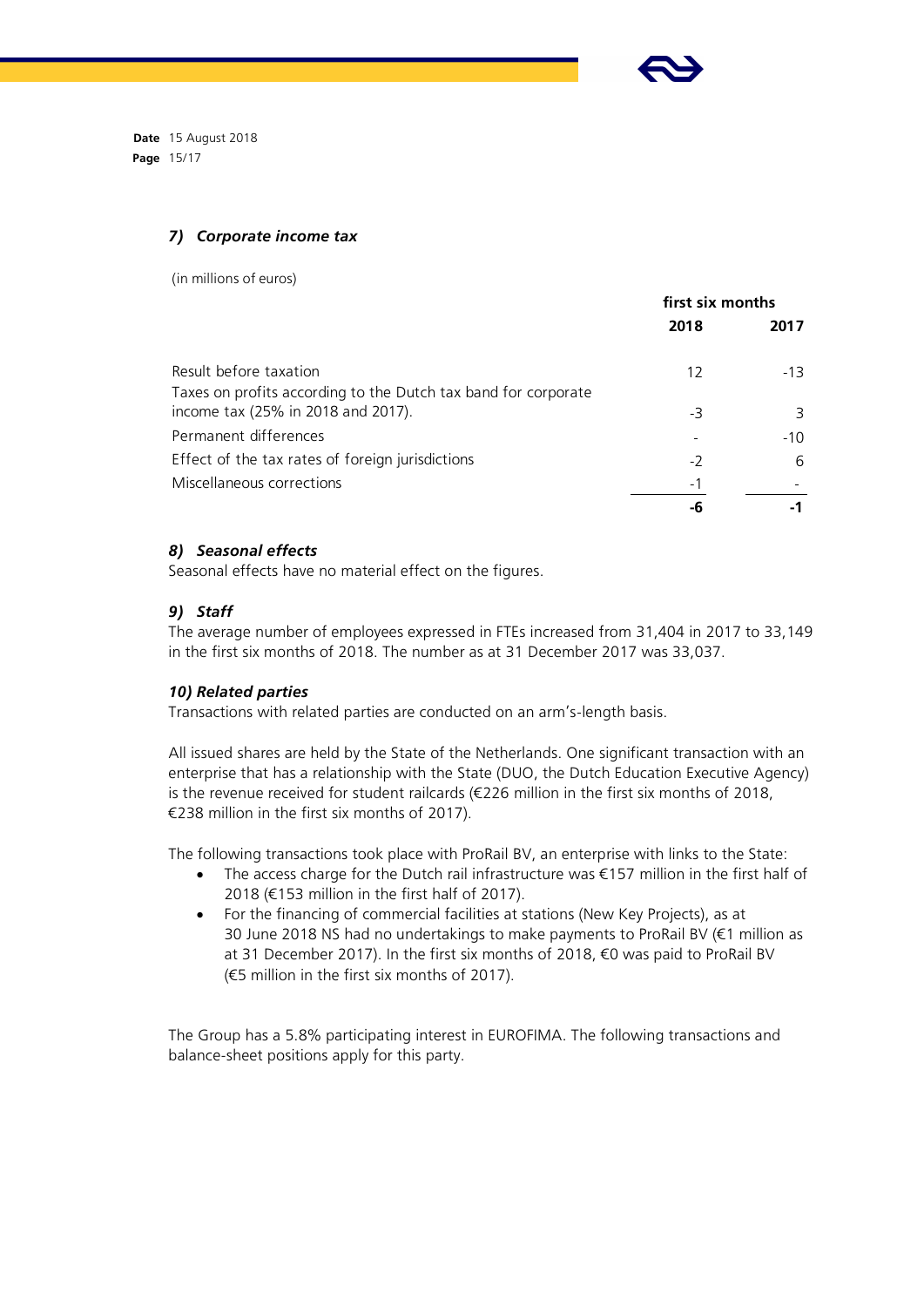

**Date** 15 August 2018 **Page** 15/17

## *7) Corporate income tax*

(in millions of euros)

|                                                                | first six months |       |
|----------------------------------------------------------------|------------------|-------|
|                                                                | 2018             | 2017  |
| Result before taxation                                         | 12               | $-13$ |
| Taxes on profits according to the Dutch tax band for corporate |                  |       |
| income tax (25% in 2018 and 2017).                             | -3               | 3     |
| Permanent differences                                          |                  | $-10$ |
| Effect of the tax rates of foreign jurisdictions               | -2               | 6     |
| Miscellaneous corrections                                      | - 1              |       |
|                                                                | -h               |       |

# *8) Seasonal effects*

Seasonal effects have no material effect on the figures.

# *9) Staff*

The average number of employees expressed in FTEs increased from 31,404 in 2017 to 33,149 in the first six months of 2018. The number as at 31 December 2017 was 33,037.

## *10) Related parties*

Transactions with related parties are conducted on an arm's-length basis.

All issued shares are held by the State of the Netherlands. One significant transaction with an enterprise that has a relationship with the State (DUO, the Dutch Education Executive Agency) is the revenue received for student railcards (€226 million in the first six months of 2018, €238 million in the first six months of 2017).

The following transactions took place with ProRail BV, an enterprise with links to the State:

- The access charge for the Dutch rail infrastructure was €157 million in the first half of 2018 (€153 million in the first half of 2017).
- For the financing of commercial facilities at stations (New Key Projects), as at 30 June 2018 NS had no undertakings to make payments to ProRail BV (€1 million as at 31 December 2017). In the first six months of 2018, €0 was paid to ProRail BV (€5 million in the first six months of 2017).

The Group has a 5.8% participating interest in EUROFIMA. The following transactions and balance-sheet positions apply for this party.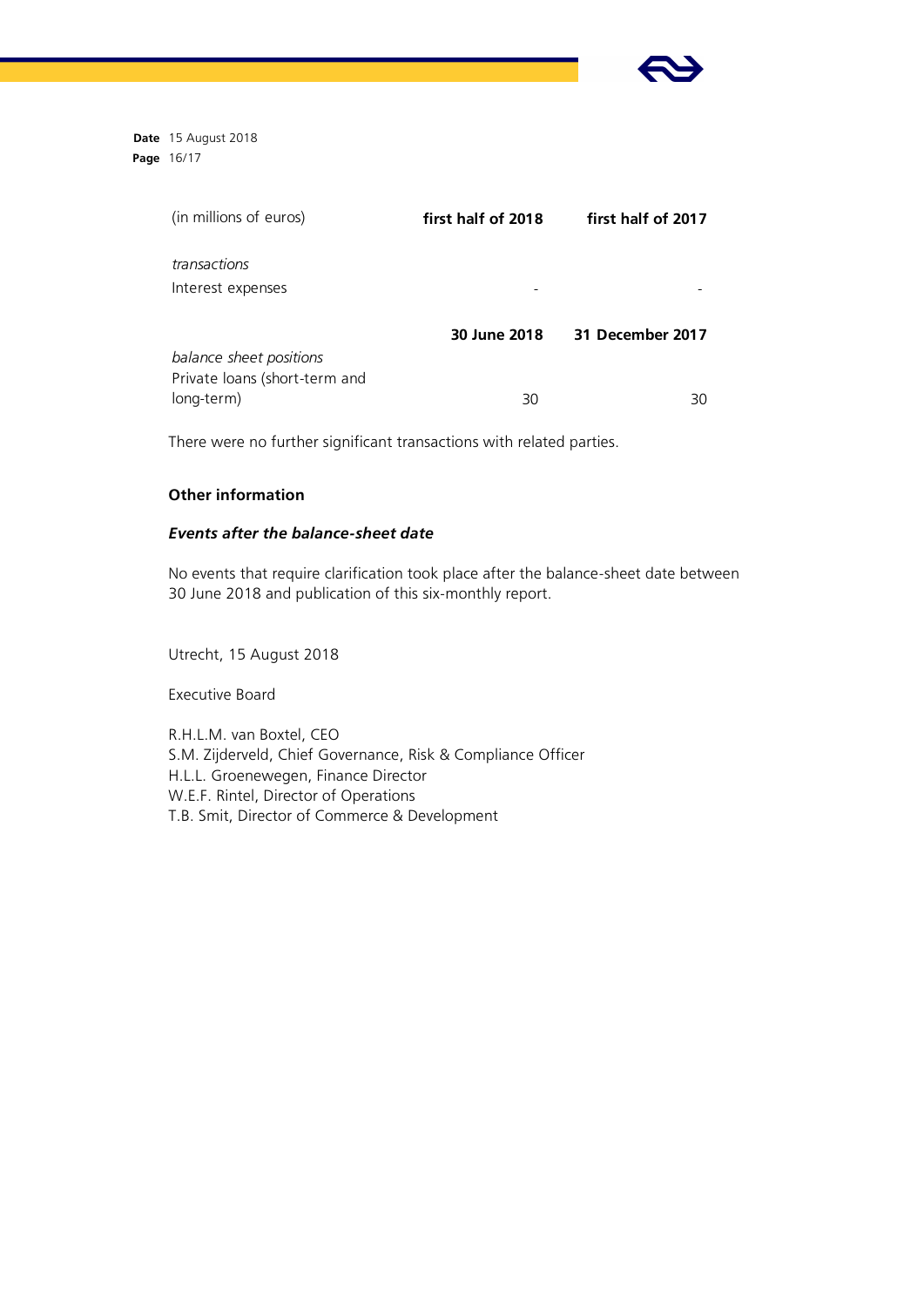

**Date** 15 August 2018 **Page** 16/17

| first half of 2018 | first half of 2017 |
|--------------------|--------------------|
|                    |                    |
|                    |                    |
| 30 June 2018       | 31 December 2017   |
|                    |                    |
| 30                 | 30                 |
|                    |                    |

There were no further significant transactions with related parties.

# **Other information**

## *Events after the balance-sheet date*

No events that require clarification took place after the balance-sheet date between 30 June 2018 and publication of this six-monthly report.

Utrecht, 15 August 2018

Executive Board

R.H.L.M. van Boxtel, CEO S.M. Zijderveld, Chief Governance, Risk & Compliance Officer H.L.L. Groenewegen, Finance Director W.E.F. Rintel, Director of Operations T.B. Smit, Director of Commerce & Development